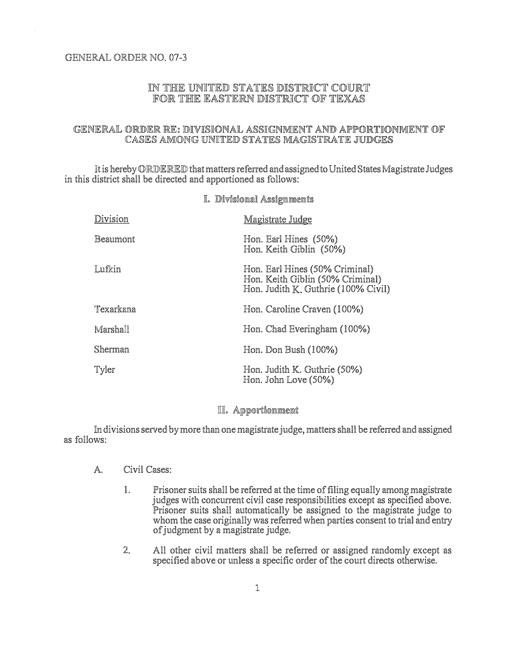# GENERAL ORDER NO. 07-3

# IN THE UNITED STATES DISTRICT COURT FOR THE EASTERN DISTRICT OF TEXAS

### GENERAL ORDER RE: DIVISIONAL ASSIGNMENT AND APPORTIONMENT OF CASES AMONG UNITED STATES MAGISTRATE JUDGES

It is hereby ORDERED that matters referred and assigned to United States Magistrate Judges in this district shall be directed and apportioned as follows:

I Divisional Assignments

| TO TAN A TIMPRAPHONE Y TOMBE THEFINAMENT |                                                                                                           |
|------------------------------------------|-----------------------------------------------------------------------------------------------------------|
| Division                                 | Magistrate Judge                                                                                          |
| Beaumont                                 | Hon. Earl Hines (50%)<br>Hon. Keith Giblin (50%)                                                          |
| Lufkin                                   | Hon. Earl Hines (50% Criminal)<br>Hon. Keith Giblin (50% Criminal)<br>Hon. Judith K. Guthrie (100% Civil) |
| Texarkana                                | Hon. Caroline Craven (100%)                                                                               |
| Marshall                                 | Hon. Chad Everingham (100%)                                                                               |
| Sherman                                  | Hon. Don Bush (100%)                                                                                      |
| Tyler                                    | Hon. Judith K. Guthrie (50%)<br>Hon. John Love (50%)                                                      |

#### II. Apportionment

In divisions served by more than one magistrate judge, matters shall be referred and assigned as follows:

- A. Civil Cases:
	- 1. Prisoner suits shall be referred at the time of filing equally among magistrate judges with concurrent civil case responsibilities except as specified above. Prisoner suits shall automatically be assigned to the magistrate judge to whom the case originally was referred when parties consent to trial and entry of judgment by a magistrate judge.
	- 2. All other civil matters shall be referred or assigned randomly except as specified above or unless a specific order of the court directs otherwise.